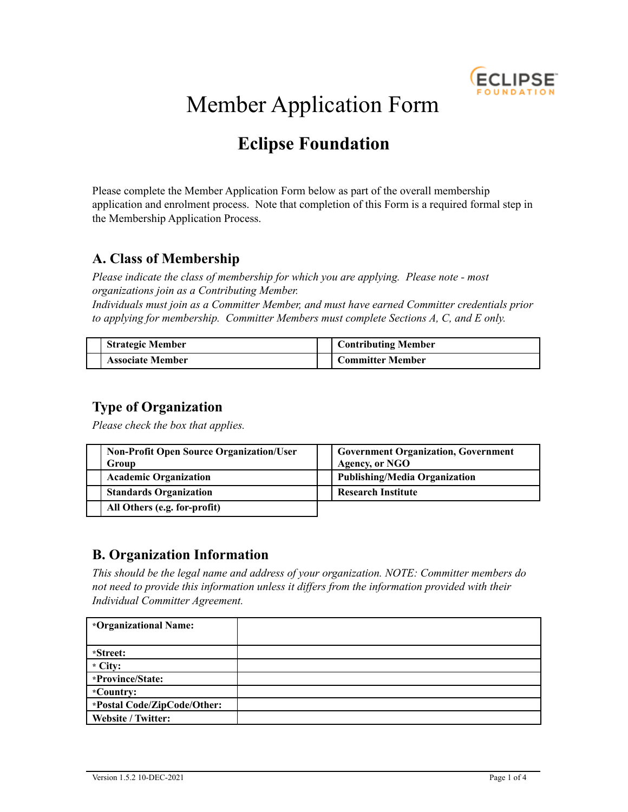

# Member Application Form

## **Eclipse Foundation**

Please complete the Member Application Form below as part of the overall membership application and enrolment process. Note that completion of this Form is a required formal step in the Membership Application Process.

## **A. Class of Membership**

*Please indicate the class of membership for which you are applying. Please note - most organizations join as a Contributing Member.*

*Individuals must join as a Committer Member, and must have earned Committer credentials prior to applying for membership. Committer Members must complete Sections A, C, and E only.*

| <b>Strategic Member</b> | <b>Contributing Member</b> |
|-------------------------|----------------------------|
| <b>Associate Member</b> | <b>Committer Member</b>    |

## **Type of Organization**

*Please check the box that applies.*

| <b>Non-Profit Open Source Organization/User</b><br>Group | <b>Government Organization, Government</b><br><b>Agency, or NGO</b> |
|----------------------------------------------------------|---------------------------------------------------------------------|
| <b>Academic Organization</b>                             | Publishing/Media Organization                                       |
| <b>Standards Organization</b>                            | <b>Research Institute</b>                                           |
| All Others (e.g. for-profit)                             |                                                                     |

## **B. Organization Information**

*This should be the legal name and address of your organization. NOTE: Committer members do not need to provide this information unless it dif ers from the information provided with their Individual Committer Agreement.*

| *Organizational Name:       |  |
|-----------------------------|--|
|                             |  |
| *Street:                    |  |
| $\cdot$ City:               |  |
| *Province/State:            |  |
| *Country:                   |  |
| *Postal Code/ZipCode/Other: |  |
| Website / Twitter:          |  |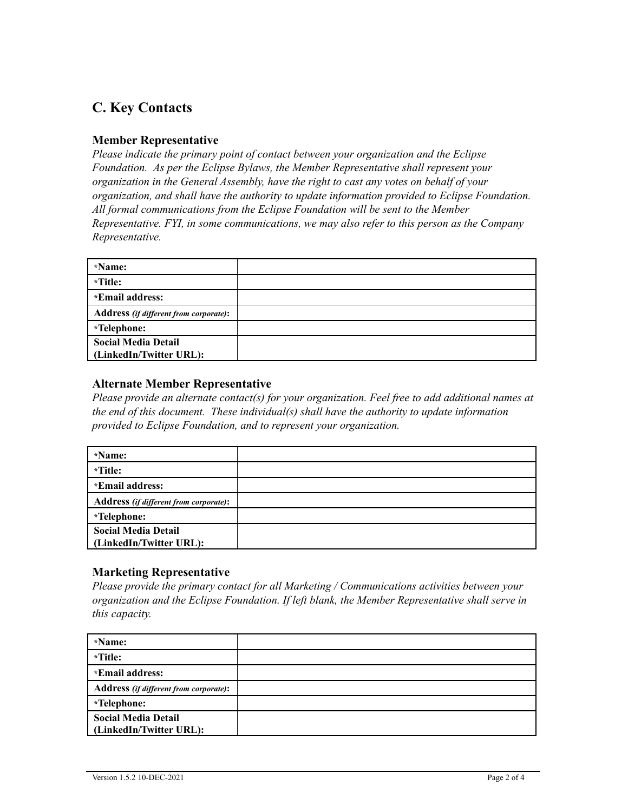## **C. Key Contacts**

#### **Member Representative**

*Please indicate the primary point of contact between your organization and the Eclipse Foundation. As per the Eclipse Bylaws, the Member Representative shall represent your organization in the General Assembly, have the right to cast any votes on behalf of your organization, and shall have the authority to update information provided to Eclipse Foundation. All formal communications from the Eclipse Foundation will be sent to the Member Representative. FYI, in some communications, we may also refer to this person as the Company Representative.*

| *Name:                                        |  |
|-----------------------------------------------|--|
| *Title:                                       |  |
| *Email address:                               |  |
| <b>Address</b> (if different from corporate): |  |
| *Telephone:                                   |  |
| <b>Social Media Detail</b>                    |  |
| (LinkedIn/Twitter URL):                       |  |

#### **Alternate Member Representative**

*Please provide an alternate contact(s) for your organization. Feel free to add additional names at the end of this document. These individual(s) shall have the authority to update information provided to Eclipse Foundation, and to represent your organization.*

| *Name:                                        |  |
|-----------------------------------------------|--|
| *Title:                                       |  |
| *Email address:                               |  |
| <b>Address</b> (if different from corporate): |  |
| *Telephone:                                   |  |
| <b>Social Media Detail</b>                    |  |
| (LinkedIn/Twitter URL):                       |  |

#### **Marketing Representative**

*Please provide the primary contact for all Marketing / Communications activities between your organization and the Eclipse Foundation. If left blank, the Member Representative shall serve in this capacity.*

| *Name:                                        |  |
|-----------------------------------------------|--|
| *Title:                                       |  |
| *Email address:                               |  |
| <b>Address</b> (if different from corporate): |  |
| *Telephone:                                   |  |
| <b>Social Media Detail</b>                    |  |
| (LinkedIn/Twitter URL):                       |  |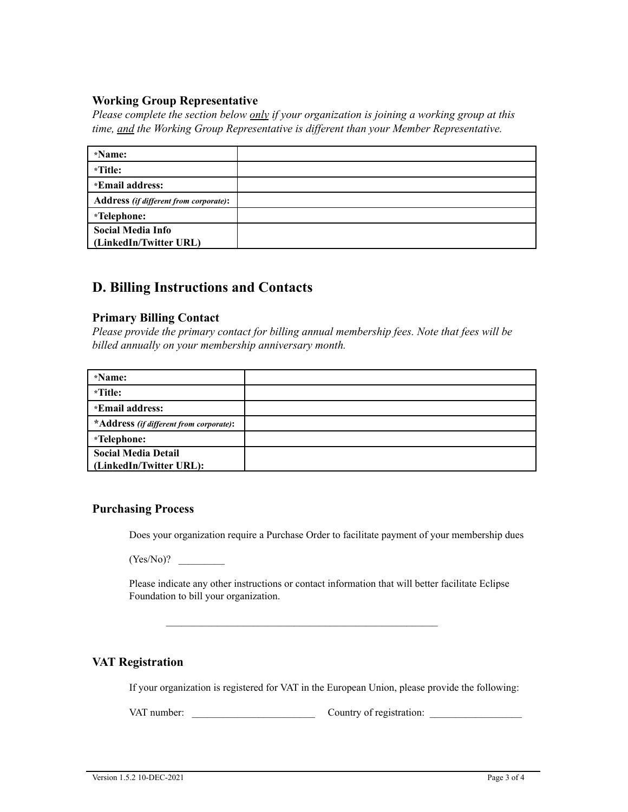#### **Working Group Representative**

*Please complete the section below only if your organization is joining a working group at this time, and the Working Group Representative is dif erent than your Member Representative.*

| *Name:                                 |  |
|----------------------------------------|--|
| *Title:                                |  |
| *Email address:                        |  |
| Address (if different from corporate): |  |
| *Telephone:                            |  |
| <b>Social Media Info</b>               |  |
| (LinkedIn/Twitter URL)                 |  |

### **D. Billing Instructions and Contacts**

#### **Primary Billing Contact**

*Please provide the primary contact for billing annual membership fees. Note that fees will be billed annually on your membership anniversary month.*

| *Name:                                  |  |
|-----------------------------------------|--|
| *Title:                                 |  |
| *Email address:                         |  |
| *Address (if different from corporate): |  |
| *Telephone:                             |  |
| <b>Social Media Detail</b>              |  |
| (LinkedIn/Twitter URL):                 |  |

#### **Purchasing Process**

Does your organization require a Purchase Order to facilitate payment of your membership dues

 $(Yes/No)$ ?

Please indicate any other instructions or contact information that will better facilitate Eclipse Foundation to bill your organization.

#### **VAT Registration**

If your organization is registered for VAT in the European Union, please provide the following:

VAT number: \_\_\_\_\_\_\_\_\_\_\_\_\_\_\_\_\_\_\_\_\_\_\_\_ Country of registration: \_\_\_\_\_\_\_\_\_\_\_\_\_\_\_\_\_\_